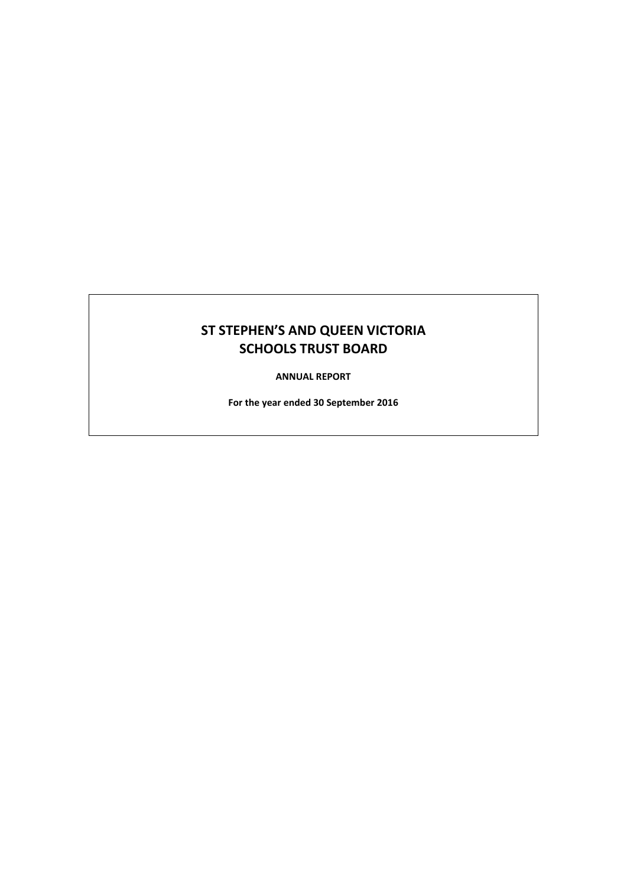# **ST STEPHEN'S AND QUEEN VICTORIA SCHOOLS TRUST BOARD**

**ANNUAL REPORT**

**For the year ended 30 September 2016**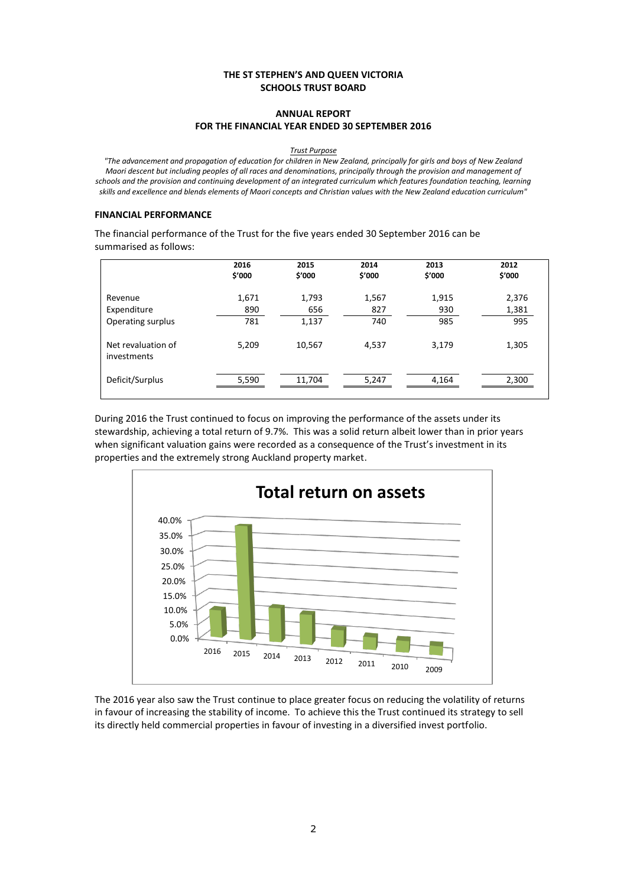## **THE ST STEPHEN'S AND QUEEN VICTORIA SCHOOLS TRUST BOARD**

# **ANNUAL REPORT FOR THE FINANCIAL YEAR ENDED 30 SEPTEMBER 2016**

#### *Trust Purpose*

*"The advancement and propagation of education for children in New Zealand, principally for girls and boys of New Zealand Maori descent but including peoples of all races and denominations, principally through the provision and management of schools and the provision and continuing development of an integrated curriculum which features foundation teaching, learning skills and excellence and blends elements of Maori concepts and Christian values with the New Zealand education curriculum"*

#### **FINANCIAL PERFORMANCE**

The financial performance of the Trust for the five years ended 30 September 2016 can be summarised as follows:

|                                   | 2016<br>\$'000 | 2015<br>\$'000 | 2014<br>\$'000 | 2013<br>\$'000 | 2012<br>\$'000 |
|-----------------------------------|----------------|----------------|----------------|----------------|----------------|
| Revenue                           | 1,671          | 1,793          | 1,567          | 1,915          | 2,376          |
| Expenditure                       | 890            | 656            | 827            | 930            | 1,381          |
| Operating surplus                 | 781            | 1,137          | 740            | 985            | 995            |
| Net revaluation of<br>investments | 5,209          | 10,567         | 4,537          | 3,179          | 1,305          |
| Deficit/Surplus                   | 5,590          | 11,704         | 5,247          | 4,164          | 2,300          |

During 2016 the Trust continued to focus on improving the performance of the assets under its stewardship, achieving a total return of 9.7%. This was a solid return albeit lower than in prior years when significant valuation gains were recorded as a consequence of the Trust's investment in its properties and the extremely strong Auckland property market.



The 2016 year also saw the Trust continue to place greater focus on reducing the volatility of returns in favour of increasing the stability of income. To achieve this the Trust continued its strategy to sell its directly held commercial properties in favour of investing in a diversified invest portfolio.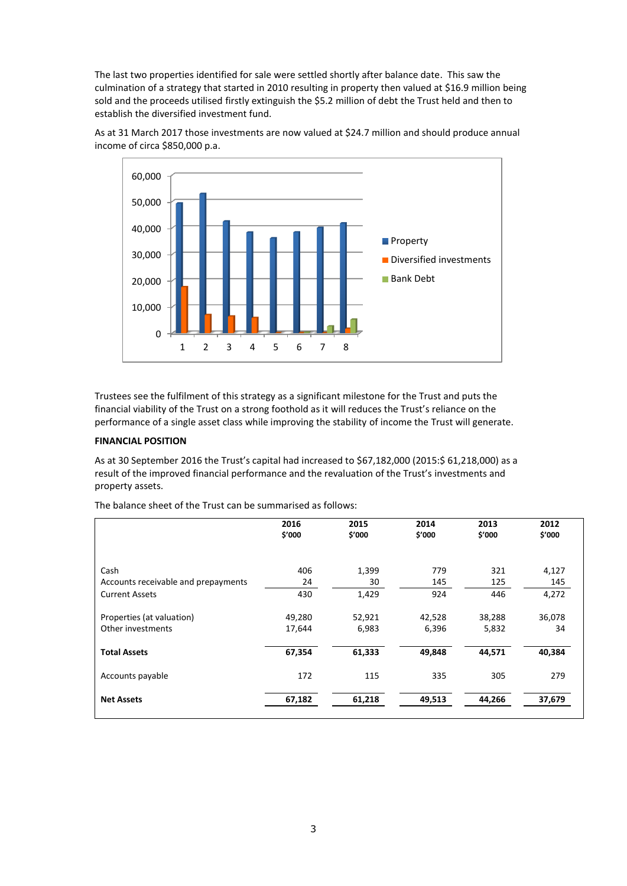The last two properties identified for sale were settled shortly after balance date. This saw the culmination of a strategy that started in 2010 resulting in property then valued at \$16.9 million being sold and the proceeds utilised firstly extinguish the \$5.2 million of debt the Trust held and then to establish the diversified investment fund.



As at 31 March 2017 those investments are now valued at \$24.7 million and should produce annual income of circa \$850,000 p.a.

Trustees see the fulfilment of this strategy as a significant milestone for the Trust and puts the financial viability of the Trust on a strong foothold as it will reduces the Trust's reliance on the performance of a single asset class while improving the stability of income the Trust will generate.

## **FINANCIAL POSITION**

As at 30 September 2016 the Trust's capital had increased to \$67,182,000 (2015:\$ 61,218,000) as a result of the improved financial performance and the revaluation of the Trust's investments and property assets.

The balance sheet of the Trust can be summarised as follows:

|                                     | 2016<br>\$'000 | 2015<br>\$'000 | 2014<br>\$'000 | 2013<br>\$'000 | 2012<br>\$'000 |
|-------------------------------------|----------------|----------------|----------------|----------------|----------------|
| Cash                                | 406            | 1,399          | 779            | 321            | 4,127          |
| Accounts receivable and prepayments | 24             | 30             | 145            | 125            | 145            |
| <b>Current Assets</b>               | 430            | 1,429          | 924            | 446            | 4,272          |
| Properties (at valuation)           | 49,280         | 52,921         | 42,528         | 38,288         | 36,078         |
| Other investments                   | 17,644         | 6,983          | 6,396          | 5,832          | 34             |
| <b>Total Assets</b>                 | 67,354         | 61,333         | 49,848         | 44,571         | 40,384         |
| Accounts payable                    | 172            | 115            | 335            | 305            | 279            |
| <b>Net Assets</b>                   | 67,182         | 61,218         | 49,513         | 44,266         | 37,679         |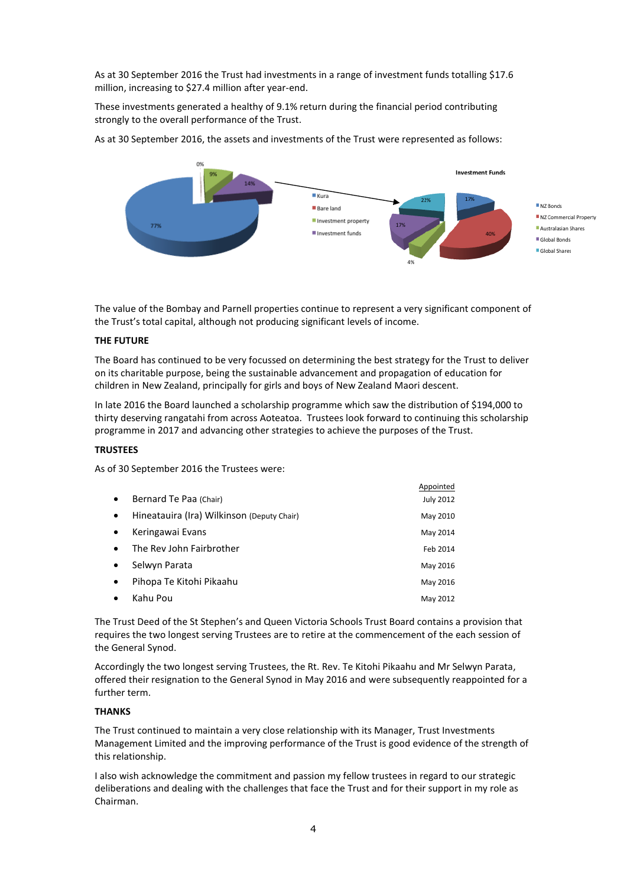As at 30 September 2016 the Trust had investments in a range of investment funds totalling \$17.6 million, increasing to \$27.4 million after year-end.

These investments generated a healthy of 9.1% return during the financial period contributing strongly to the overall performance of the Trust.

As at 30 September 2016, the assets and investments of the Trust were represented as follows:



Appointed

The value of the Bombay and Parnell properties continue to represent a very significant component of the Trust's total capital, although not producing significant levels of income.

#### **THE FUTURE**

The Board has continued to be very focussed on determining the best strategy for the Trust to deliver on its charitable purpose, being the sustainable advancement and propagation of education for children in New Zealand, principally for girls and boys of New Zealand Maori descent.

In late 2016 the Board launched a scholarship programme which saw the distribution of \$194,000 to thirty deserving rangatahi from across Aoteatoa. Trustees look forward to continuing this scholarship programme in 2017 and advancing other strategies to achieve the purposes of the Trust.

### **TRUSTEES**

As of 30 September 2016 the Trustees were:

|           |                                            | Appointed        |
|-----------|--------------------------------------------|------------------|
| $\bullet$ | Bernard Te Paa (Chair)                     | <b>July 2012</b> |
| $\bullet$ | Hineatauira (Ira) Wilkinson (Deputy Chair) | May 2010         |
| $\bullet$ | Keringawai Evans                           | May 2014         |
| $\bullet$ | The Rev John Fairbrother                   | Feb 2014         |
| $\bullet$ | Selwyn Parata                              | May 2016         |
| $\bullet$ | Pihopa Te Kitohi Pikaahu                   | May 2016         |
| $\bullet$ | Kahu Pou                                   | May 2012         |

The Trust Deed of the St Stephen's and Queen Victoria Schools Trust Board contains a provision that requires the two longest serving Trustees are to retire at the commencement of the each session of the General Synod.

Accordingly the two longest serving Trustees, the Rt. Rev. Te Kitohi Pikaahu and Mr Selwyn Parata, offered their resignation to the General Synod in May 2016 and were subsequently reappointed for a further term.

#### **THANKS**

The Trust continued to maintain a very close relationship with its Manager, Trust Investments Management Limited and the improving performance of the Trust is good evidence of the strength of this relationship.

I also wish acknowledge the commitment and passion my fellow trustees in regard to our strategic deliberations and dealing with the challenges that face the Trust and for their support in my role as Chairman.